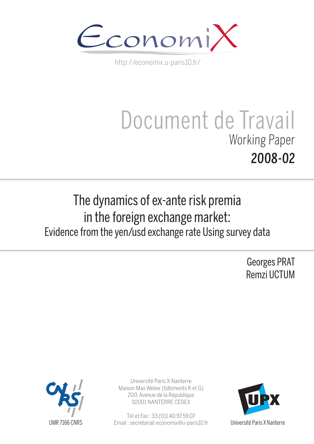

http://economix.u-paris10.fr/

# Document de Travail Working Paper 2008-02

## The dynamics of ex-ante risk premia in the foreign exchange market: Evidence from the yen/usd exchange rate Using survey data

Georges PRAT Remzi UCTUM



Université Paris X-Nanterre Maison Max Weber (bâtiments K et G) 200, Avenue de la République 92001 NANTERRE CEDEX

Tél et Fax : 33.(0)1.40.97.59.07 Email : secretariat-economix@u-paris10.fr



Université Paris X Nanterre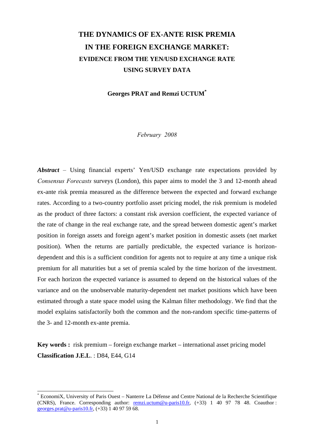## **THE DYNAMICS OF EX-ANTE RISK PREMIA IN THE FOREIGN EXCHANGE MARKET: EVIDENCE FROM THE YEN/USD EXCHANGE RATE USING SURVEY DATA**

**Georges PRAT and Remzi UCTUM\***

*February 2008* 

*Abstract –* Using financial experts' Yen/USD exchange rate expectations provided by *Consensus Forecasts* surveys (London), this paper aims to model the 3 and 12-month ahead ex-ante risk premia measured as the difference between the expected and forward exchange rates. According to a two-country portfolio asset pricing model, the risk premium is modeled as the product of three factors: a constant risk aversion coefficient, the expected variance of the rate of change in the real exchange rate, and the spread between domestic agent's market position in foreign assets and foreign agent's market position in domestic assets (net market position). When the returns are partially predictable, the expected variance is horizondependent and this is a sufficient condition for agents not to require at any time a unique risk premium for all maturities but a set of premia scaled by the time horizon of the investment. For each horizon the expected variance is assumed to depend on the historical values of the variance and on the unobservable maturity-dependent net market positions which have been estimated through a state space model using the Kalman filter methodology. We find that the model explains satisfactorily both the common and the non-random specific time-patterns of the 3- and 12-month ex-ante premia.

**Key words :** risk premium – foreign exchange market – international asset pricing model **Classification J.E.L**. : D84, E44, G14

<sup>\*</sup> EconomiX, University of Paris Ouest – Nanterre La Défense and Centre National de la Recherche Scientifique (CNRS), France. Corresponding author: remzi.uctum@u-paris10.fr, (+33) 1 40 97 78 48. Coauthor : georges.prat@u-paris10.fr, (+33) 1 40 97 59 68.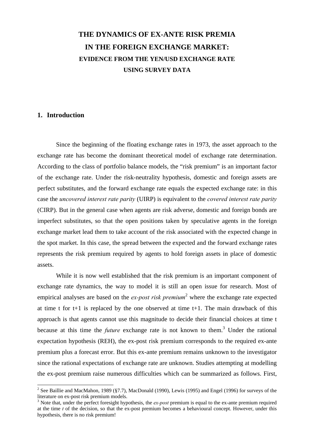## **THE DYNAMICS OF EX-ANTE RISK PREMIA IN THE FOREIGN EXCHANGE MARKET: EVIDENCE FROM THE YEN/USD EXCHANGE RATE USING SURVEY DATA**

#### **1. Introduction**

Since the beginning of the floating exchange rates in 1973, the asset approach to the exchange rate has become the dominant theoretical model of exchange rate determination. According to the class of portfolio balance models, the "risk premium" is an important factor of the exchange rate. Under the risk-neutrality hypothesis, domestic and foreign assets are perfect substitutes, and the forward exchange rate equals the expected exchange rate: in this case the *uncovered interest rate parity* (UIRP) is equivalent to the *covered interest rate parity* (CIRP). But in the general case when agents are risk adverse, domestic and foreign bonds are imperfect substitutes, so that the open positions taken by speculative agents in the foreign exchange market lead them to take account of the risk associated with the expected change in the spot market. In this case, the spread between the expected and the forward exchange rates represents the risk premium required by agents to hold foreign assets in place of domestic assets.

While it is now well established that the risk premium is an important component of exchange rate dynamics, the way to model it is still an open issue for research. Most of empirical analyses are based on the *ex-post risk premium*<sup>2</sup> where the exchange rate expected at time t for  $t+1$  is replaced by the one observed at time  $t+1$ . The main drawback of this approach is that agents cannot use this magnitude to decide their financial choices at time t because at this time the *future* exchange rate is not known to them.<sup>3</sup> Under the rational expectation hypothesis (REH), the ex-post risk premium corresponds to the required ex-ante premium plus a forecast error. But this ex-ante premium remains unknown to the investigator since the rational expectations of exchange rate are unknown. Studies attempting at modelling the ex-post premium raise numerous difficulties which can be summarized as follows. First,

<sup>&</sup>lt;sup>2</sup> See Baillie and MacMahon, 1989 (§7.7), MacDonald (1990), Lewis (1995) and Engel (1996) for surveys of the literature on ex-post risk premium models.

<sup>&</sup>lt;sup>3</sup> Note that, under the perfect foresight hypothesis, the *ex-post* premium is equal to the ex-ante premium required at the time *t* of the decision, so that the ex-post premium becomes a behavioural concept. However, under this hypothesis, there is no risk premium!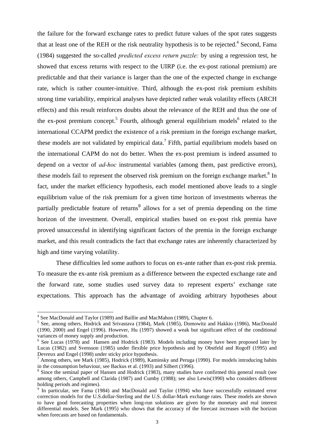the failure for the forward exchange rates to predict future values of the spot rates suggests that at least one of the REH or the risk neutrality hypothesis is to be rejected. $4$  Second, Fama (1984) suggested the so-called *predicted excess return puzzle:* by using a regression test, he showed that excess returns with respect to the UIRP (i.e. the ex-post rational premium) are predictable and that their variance is larger than the one of the expected change in exchange rate, which is rather counter-intuitive. Third, although the ex-post risk premium exhibits strong time variability, empirical analyses have depicted rather weak volatility effects (ARCH effects) and this result reinforces doubts about the relevance of the REH and thus the one of the ex-post premium concept.<sup>5</sup> Fourth, although general equilibrium models<sup>6</sup> related to the international CCAPM predict the existence of a risk premium in the foreign exchange market, these models are not validated by empirical data.<sup>7</sup> Fifth, partial equilibrium models based on the international CAPM do not do better. When the ex-post premium is indeed assumed to depend on a vector of *ad-hoc* instrumental variables (among them, past predictive errors), these models fail to represent the observed risk premium on the foreign exchange market.<sup>8</sup> In fact, under the market efficiency hypothesis, each model mentioned above leads to a single equilibrium value of the risk premium for a given time horizon of investments whereas the partially predictable feature of returns<sup>9</sup> allows for a set of premia depending on the time horizon of the investment. Overall, empirical studies based on ex-post risk premia have proved unsuccessful in identifying significant factors of the premia in the foreign exchange market, and this result contradicts the fact that exchange rates are inherently characterized by high and time varying volatility.

 These difficulties led some authors to focus on ex-ante rather than ex-post risk premia. To measure the ex-ante risk premium as a difference between the expected exchange rate and the forward rate, some studies used survey data to represent experts' exchange rate expectations. This approach has the advantage of avoiding arbitrary hypotheses about

 4 See MacDonald and Taylor (1989) and Baillie and MacMahon (1989), Chapter 6.

<sup>&</sup>lt;sup>5</sup> See, among others, Hodrick and Srivastava (1984), Mark (1985), Domowitz and Hakkio (1986), MacDonald (1990, 2000) and Engel (1996). However, Hu (1997) showed a weak but significant effect of the conditional variances of money supply and production.

<sup>&</sup>lt;sup>6</sup> See Lucas (1978) and Hansen and Hodrick (1983). Models including money have been proposed later by Lucas (1982) and Svensson (1985) under flexible price hypothesis and by Obstfeld and Rogoff (1995) and Devreux and Engel (1998) under sticky price hypothesis.

 $^7$  Among others, see Mark (1985), Hodrick (1989), Kaminsky and Peruga (1990). For models introducing habits in the consumption behaviour, see Backus et al. (1993) and Silbert (1996).

<sup>&</sup>lt;sup>8</sup> Since the seminal paper of Hansen and Hodrick (1983), many studies have confirmed this general result (see among others, Campbell and Clarida (1987) and Cumby (1988); see also Lewis(1990) who considers different holding periods and regimes).

<sup>&</sup>lt;sup>9</sup> In particular, see Fama (1984) and MacDonald and Taylor (1994) who have successfully estimated error correction models for the U.S.dollar-Sterling and the U.S. dollar-Mark exchange rates. These models are shown to have good forecasting properties when long-run solutions are given by the monetary and real interest differential models. See Mark (1995) who shows that the accuracy of the forecast increases with the horizon when forecasts are based on fundamentals.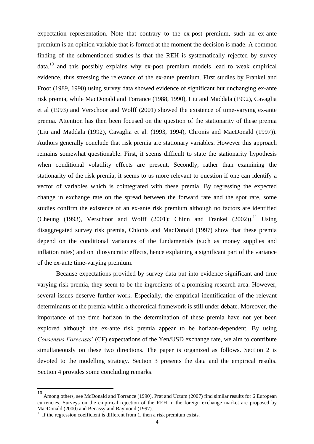expectation representation. Note that contrary to the ex-post premium, such an ex-ante premium is an opinion variable that is formed at the moment the decision is made. A common finding of the submentioned studies is that the REH is systematically rejected by survey  $data<sub>10</sub>$  and this possibly explains why ex-post premium models lead to weak empirical evidence, thus stressing the relevance of the ex-ante premium. First studies by Frankel and Froot (1989, 1990) using survey data showed evidence of significant but unchanging ex-ante risk premia, while MacDonald and Torrance (1988, 1990), Liu and Maddala (1992), Cavaglia et al (1993) and Verschoor and Wolff (2001) showed the existence of time-varying ex-ante premia. Attention has then been focused on the question of the stationarity of these premia (Liu and Maddala (1992), Cavaglia et al. (1993, 1994), Chronis and MacDonald (1997)). Authors generally conclude that risk premia are stationary variables. However this approach remains somewhat questionable. First, it seems difficult to state the stationarity hypothesis when conditional volatility effects are present. Secondly, rather than examining the stationarity of the risk premia, it seems to us more relevant to question if one can identify a vector of variables which is cointegrated with these premia. By regressing the expected change in exchange rate on the spread between the forward rate and the spot rate, some studies confirm the existence of an ex-ante risk premium although no factors are identified (Cheung (1993), Verschoor and Wolff (2001); Chinn and Frankel (2002)).<sup>11</sup> Using disaggregated survey risk premia, Chionis and MacDonald (1997) show that these premia depend on the conditional variances of the fundamentals (such as money supplies and inflation rates) and on idiosyncratic effects, hence explaining a significant part of the variance of the ex-ante time-varying premium.

Because expectations provided by survey data put into evidence significant and time varying risk premia, they seem to be the ingredients of a promising research area. However, several issues deserve further work. Especially, the empirical identification of the relevant determinants of the premia within a theoretical framework is still under debate. Moreover, the importance of the time horizon in the determination of these premia have not yet been explored although the ex-ante risk premia appear to be horizon-dependent. By using *Consensus Forecasts*' (CF) expectations of the Yen/USD exchange rate, we aim to contribute simultaneously on these two directions. The paper is organized as follows. Section 2 is devoted to the modelling strategy. Section 3 presents the data and the empirical results. Section 4 provides some concluding remarks.

<sup>10</sup> Among others, see McDonald and Torrance (1990). Prat and Uctum (2007) find similar results for 6 European currencies. Surveys on the empirical rejection of the REH in the foreign exchange market are proposed by MacDonald (2000) and Benassy and Raymond (1997).

 $11$  If the regression coefficient is different from 1, then a risk premium exists.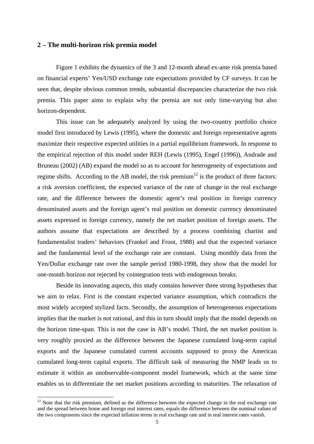#### **2 – The multi-horizon risk premia model**

Figure 1 exhibits the dynamics of the 3 and 12-month ahead ex-ante risk premia based on financial experts' Yen/USD exchange rate expectations provided by CF surveys. It can be seen that, despite obvious common trends, substantial discrepancies characterize the two risk premia. This paper aims to explain why the premia are not only time-varying but also horizon-dependent.

 This issue can be adequately analyzed by using the two-country portfolio choice model first introduced by Lewis (1995), where the domestic and foreign representative agents maximize their respective expected utilities in a partial equilibrium framework. In response to the empirical rejection of this model under REH (Lewis (1995), Engel (1996)), Andrade and Bruneau (2002) (AB) expand the model so as to account for heterogeneity of expectations and regime shifts. According to the AB model, the risk premium<sup>12</sup> is the product of three factors: a risk aversion coefficient, the expected variance of the rate of change in the real exchange rate, and the difference between the domestic agent's real position in foreign currency denominated assets and the foreign agent's real position on domestic currency denominated assets expressed in foreign currency, namely the net market position of foreign assets. The authors assume that expectations are described by a process combining chartist and fundamentalist traders' behaviors (Frankel and Froot, 1988) and that the expected variance and the fundamental level of the exchange rate are constant. Using monthly data from the Yen/Dollar exchange rate over the sample period 1980-1998, they show that the model for one-month horizon not rejected by cointegration tests with endogenous breaks.

Beside its innovating aspects, this study contains however three strong hypotheses that we aim to relax. First is the constant expected variance assumption, which contradicts the most widely accepted stylized facts. Secondly, the assumption of heterogeneous expectations implies that the market is not rational, and this in turn should imply that the model depends on the horizon time-span. This is not the case in AB's model. Third, the net market position is very roughly proxied as the difference between the Japanese cumulated long-term capital exports and the Japanese cumulated current accounts supposed to proxy the American cumulated long-term capital exports. The difficult task of measuring the NMP leads us to estimate it within an unobservable-component model framework, which at the same time enables us to differentiate the net market positions according to maturities. The relaxation of

 $12$  Note that the risk premium, defined as the difference between the expected change in the real exchange rate and the spread between home and foreign real interest rates, equals the difference between the nominal values of the two components since the expected inflation terms in real exchange rate and in real interest rates vanish.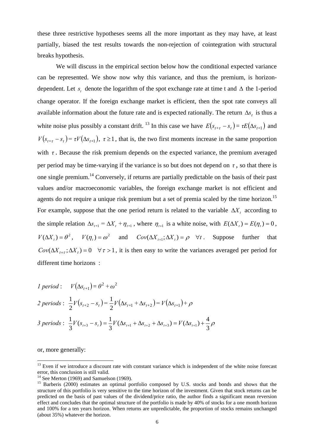these three restrictive hypotheses seems all the more important as they may have, at least partially, biased the test results towards the non-rejection of cointegration with structural breaks hypothesis.

We will discuss in the empirical section below how the conditional expected variance can be represented. We show now why this variance, and thus the premium, is horizondependent. Let  $s_t$  denote the logarithm of the spot exchange rate at time t and  $\Delta$  the 1-period change operator. If the foreign exchange market is efficient, then the spot rate conveys all available information about the future rate and is expected rationally. The return  $\Delta s$ , is thus a white noise plus possibly a constant drift. <sup>13</sup> In this case we have  $E(s_{t+\tau} - s_t) = \tau E(\Delta s_{t+1})$  and  $V(s_{t+\tau} - s_t) = \tau V(\Delta s_{t+1}), \tau \ge 1$ , that is, the two first moments increase in the same proportion with  $\tau$ . Because the risk premium depends on the expected variance, the premium averaged per period may be time-varying if the variance is so but does not depend on  $\tau$ , so that there is one single premium.14 Conversely, if returns are partially predictable on the basis of their past values and/or macroeconomic variables, the foreign exchange market is not efficient and agents do not require a unique risk premium but a set of premia scaled by the time horizon.<sup>15</sup> For example, suppose that the one period return is related to the variable  $\Delta X$ , according to the simple relation  $\Delta s_{t+1} = \Delta X_t + \eta_{t+1}$ , where  $\eta_{t+1}$  is a white noise, with  $E(\Delta X_t) = E(\eta_t) = 0$ ,  $V(\Delta X_t) = \theta^2$ ,  $V(\eta_t) = \omega^2$  and  $Cov(\Delta X_{t+1}; \Delta X_t) = \rho \quad \forall t$ . Suppose further that  $Cov(\Delta X_{t+\tau}; \Delta X_t) = 0 \quad \forall \tau > 1$ , it is then easy to write the variances averaged per period for different time horizons :

*1 period* :  $V(\Delta s_{t+1}) = \theta^2 + \omega^2$  $2 \text{ periods}: \frac{1}{2}V(s_{t+2} - s_t) = \frac{1}{2}V(\Delta s_{t+1} + \Delta s_{t+2}) = V(\Delta s_{t+1}) + \rho$ 2  $\frac{1}{2}V(s_{t+2} - s_t) = \frac{1}{2}V(\Delta s_{t+1} + \Delta s_{t+2}) = V(\Delta$ *3 periods* :  $\frac{1}{2}V(s_{t+3} - s_t) = \frac{1}{2}V(\Delta s_{t+1} + \Delta s_{t+2} + \Delta s_{t+3}) = V(\Delta s_{t+1}) + \frac{1}{2}\rho$  $\frac{1}{3}V(s_{t+3} - s_t) = \frac{1}{3}V(\Delta s_{t+1} + \Delta s_{t+2} + \Delta s_{t+3}) = V(\Delta s_{t+1}) + \frac{4}{3}$ 

or, more generally:

<sup>&</sup>lt;sup>13</sup> Even if we introduce a discount rate with constant variance which is independent of the white noise forecast error, this conclusion is still valid.

 $14$  See Merton (1969) and Samuelson (1969).

<sup>&</sup>lt;sup>15</sup> Barberis (2000) estimates an optimal portfolio composed by U.S. stocks and bonds and shows that the structure of this portfolio is very sensitive to the time horizon of the investment. Given that stock returns can be predicted on the basis of past values of the dividend/price ratio, the author finds a significant mean reversion effect and concludes that the optimal structure of the portfolio is made by 40% of stocks for a one month horizon and 100% for a ten years horizon. When returns are unpredictable, the proportion of stocks remains unchanged (about 35%) whatever the horizon.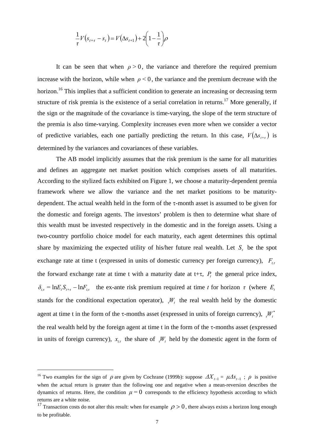$$
\frac{1}{\tau}V(s_{t+\tau}-s_t)=V(\Delta s_{t+1})+2\left(1-\frac{1}{\tau}\right)\rho
$$

It can be seen that when  $\rho > 0$ , the variance and therefore the required premium increase with the horizon, while when  $\rho < 0$ , the variance and the premium decrease with the horizon.<sup>16</sup> This implies that a sufficient condition to generate an increasing or decreasing term structure of risk premia is the existence of a serial correlation in returns.<sup>17</sup> More generally, if the sign or the magnitude of the covariance is time-varying, the slope of the term structure of the premia is also time-varying. Complexity increases even more when we consider a vector of predictive variables, each one partially predicting the return. In this case,  $V(\Delta s_{t+\tau})$  is determined by the variances and covariances of these variables.

The AB model implicitly assumes that the risk premium is the same for all maturities and defines an aggregate net market position which comprises assets of all maturities. According to the stylized facts exhibited on Figure 1, we choose a maturity-dependent premia framework where we allow the variance and the net market positions to be maturitydependent. The actual wealth held in the form of the τ-month asset is assumed to be given for the domestic and foreign agents. The investors' problem is then to determine what share of this wealth must be invested respectively in the domestic and in the foreign assets. Using a two-country portfolio choice model for each maturity, each agent determines this optimal share by maximizing the expected utility of his/her future real wealth. Let  $S<sub>t</sub>$  be the spot exchange rate at time t (expressed in units of domestic currency per foreign currency),  $F_{t, \tau}$ the forward exchange rate at time t with a maturity date at t+τ,  $P_t$  the general price index,  $\delta_{t,\tau} = \ln E_t S_{t+\tau} - \ln F_{t,\tau}$  the ex-ante risk premium required at time *t* for horizon *τ* (where  $E_t$ stands for the conditional expectation operator),  $W_t$  the real wealth held by the domestic agent at time t in the form of the  $\tau$ -months asset (expressed in units of foreign currency),  ${}_{\tau}W_{t}^{*}$ the real wealth held by the foreign agent at time t in the form of the  $\tau$ -months asset (expressed in units of foreign currency),  $x_{i\tau}$  the share of  $\tau_{i}W_{i}$  held by the domestic agent in the form of

<sup>&</sup>lt;sup>16</sup> Two examples for the sign of  $\rho$  are given by Cochrane (1999b): suppose  $\Delta X_{t-1} = \mu \Delta s_{t-1}$ ;  $\rho$  is positive when the actual return is greater than the following one and negative when a mean-reversion describes the dynamics of returns. Here, the condition  $\mu = 0$  corresponds to the efficiency hypothesis according to which returns are a white noise.

<sup>&</sup>lt;sup>17</sup> Transaction costs do not alter this result: when for example  $\rho > 0$ , there always exists a horizon long enough to be profitable.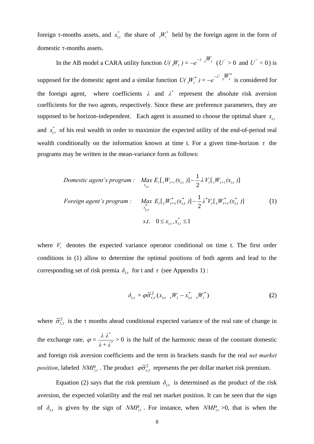foreign  $\tau$ -months assets, and  $x_{i\tau}^*$  the share of  $\tau_i^*$  held by the foreign agent in the form of domestic τ-months assets.

In the AB model a CARA utility function  $U({}_tW_t) = -e^{-\lambda t} \int_0^W t \quad (U' > 0)$  and  $U'' < 0$ ) is supposed for the domestic agent and a similar function  $U(F_t^{\mu^*}) = -e^{-\lambda^* t} \int_0^{\mu^*}$  is considered for the foreign agent, where coefficients  $\lambda$  and  $\lambda^*$  represent the absolute risk aversion coefficients for the two agents, respectively. Since these are preference parameters, they are supposed to be horizon-independent. Each agent is assumed to choose the optimal share  $x_{i\tau}$ and  $x_{i,t}^*$  of his real wealth in order to maximize the expected utility of the end-of-period real wealth conditionally on the information known at time t. For a given time-horizon *τ* the programs may be written in the mean-variance form as follows:

Domestic agent's program : Max 
$$
E_t[\, _tW_{t+\tau}(x_{t,\tau})] - \frac{1}{2} \lambda V_t[\, _tW_{t+\tau}(x_{t,\tau})]
$$
  
\n
$$
For eigen agent's program : Max  $E_t[\, _tW_{t+\tau}^*(x_{t,\tau}^*)] - \frac{1}{2} \lambda^* V_t[\, _tW_{t+\tau}^*(x_{t,\tau}^*)]$  (1)  
\n
$$
s.t. \quad 0 \le x_{t,\tau}, x_{t,\tau}^* \le 1
$$
$$

where  $V_t$  denotes the expected variance operator conditional on time t. The first order conditions in (1) allow to determine the optimal positions of both agents and lead to the corresponding set of risk premia  $\delta_{t\tau}$  for t and  $\tau$  (see Appendix 1):

$$
\delta_{t,\tau} = \varphi \tilde{\sigma}_{t,\tau}^2 (x_{t,\tau} \cdot W_t - x_{t,\tau}^* \cdot W_t^*)
$$
\n(2)

where  $\tilde{\sigma}_{t,\tau}^2$  is the  $\tau$  months ahead conditional expected variance of the real rate of change in the exchange rate,  $\varphi = \frac{\kappa \kappa}{1 + 1^{*}} > 0$ \* *> λ+ λ*  $\varphi = \frac{\lambda \lambda^*}{\lambda} > 0$  is the half of the harmonic mean of the constant domestic and foreign risk aversion coefficients and the term in brackets stands for the real *net market position*, labeled  $NMP_{t,\tau}$ . The product  $\varphi \tilde{\sigma}_{t,\tau}^2$  represents the per dollar market risk premium.

Equation (2) says that the risk premium  $\delta_{t\tau}$  is determined as the product of the risk aversion, the expected volatility and the real net market position. It can be seen that the sign of  $\delta_{t,\tau}$  is given by the sign of  $NMP_{t,\tau}$ . For instance, when  $NMP_{t,\tau} > 0$ , that is when the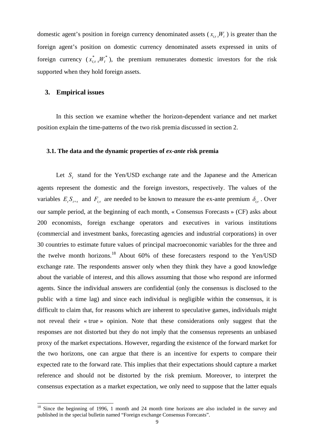domestic agent's position in foreign currency denominated assets ( $x_{i, \tau}$ , $W_t$ ) is greater than the foreign agent's position on domestic currency denominated assets expressed in units of foreign currency  $(x_{t,\tau}^*,W_t^*)$ , the premium remunerates domestic investors for the risk supported when they hold foreign assets.

#### **3. Empirical issues**

1

 In this section we examine whether the horizon-dependent variance and net market position explain the time-patterns of the two risk premia discussed in section 2.

#### **3.1. The data and the dynamic properties of** *ex-ante* **risk premia**

Let  $S_t$  stand for the Yen/USD exchange rate and the Japanese and the American agents represent the domestic and the foreign investors, respectively. The values of the variables  $E_t S_{t+\tau}$  and  $F_{t,\tau}$  are needed to be known to measure the ex-ante premium  $\delta_{t,\tau}$ . Over our sample period, at the beginning of each month, « Consensus Forecasts » (CF) asks about 200 economists, foreign exchange operators and executives in various institutions (commercial and investment banks, forecasting agencies and industrial corporations) in over 30 countries to estimate future values of principal macroeconomic variables for the three and the twelve month horizons.<sup>18</sup> About 60% of these forecasters respond to the Yen/USD exchange rate. The respondents answer only when they think they have a good knowledge about the variable of interest, and this allows assuming that those who respond are informed agents. Since the individual answers are confidential (only the consensus is disclosed to the public with a time lag) and since each individual is negligible within the consensus, it is difficult to claim that, for reasons which are inherent to speculative games, individuals might not reveal their « true » opinion. Note that these considerations only suggest that the responses are not distorted but they do not imply that the consensus represents an unbiased proxy of the market expectations. However, regarding the existence of the forward market for the two horizons, one can argue that there is an incentive for experts to compare their expected rate to the forward rate. This implies that their expectations should capture a market reference and should not be distorted by the risk premium. Moreover, to interpret the consensus expectation as a market expectation, we only need to suppose that the latter equals

<sup>&</sup>lt;sup>18</sup> Since the beginning of 1996, 1 month and 24 month time horizons are also included in the survey and published in the special bulletin named "Foreign exchange Consensus Forecasts".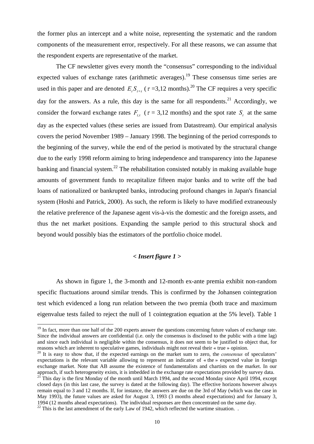the former plus an intercept and a white noise, representing the systematic and the random components of the measurement error, respectively. For all these reasons, we can assume that the respondent experts are representative of the market.

The CF newsletter gives every month the "consensus" corresponding to the individual expected values of exchange rates (arithmetic averages).<sup>19</sup> These consensus time series are used in this paper and are denoted  $E_t S_{t+\tau}$  ( $\tau = 3.12$  months).<sup>20</sup> The CF requires a very specific day for the answers. As a rule, this day is the same for all respondents.<sup>21</sup> Accordingly, we consider the forward exchange rates  $F_{t_{\tau}}$  ( $\tau = 3.12$  months) and the spot rate *S<sub>t</sub>* at the same day as the expected values (these series are issued from Datastream). Our empirical analysis covers the period November 1989 – January 1998. The beginning of the period corresponds to the beginning of the survey, while the end of the period is motivated by the structural change due to the early 1998 reform aiming to bring independence and transparency into the Japanese banking and financial system.<sup>22</sup> The rehabilitation consisted notably in making available huge amounts of government funds to recapitalize fifteen major banks and to write off the bad loans of nationalized or bankrupted banks, introducing profound changes in Japan's financial system (Hoshi and Patrick, 2000). As such, the reform is likely to have modified extraneously the relative preference of the Japanese agent vis-à-vis the domestic and the foreign assets, and thus the net market positions. Expanding the sample period to this structural shock and beyond would possibly bias the estimators of the portfolio choice model.

#### *< Insert figure 1 >*

As shown in figure 1, the 3-month and 12-month ex-ante premia exhibit non-random specific fluctuations around similar trends. This is confirmed by the Johansen cointegration test which evidenced a long run relation between the two premia (both trace and maximum eigenvalue tests failed to reject the null of 1 cointegration equation at the 5% level). Table 1

<sup>&</sup>lt;sup>19</sup> In fact, more than one half of the 200 experts answer the questions concerning future values of exchange rate. Since the individual answers are confidential (i.e. only the consensus is disclosed to the public with a time lag) and since each individual is negligible within the consensus, it does not seem to be justified to object that, for reasons which are inherent to speculative games, individuals might not reveal their « true » opinion.

<sup>20</sup> It is easy to show that, if the expected earnings on the market sum to zero, the *consensus* of speculators' expectations is the relevant variable allowing to represent an indicator of « the » expected value in foreign exchange market. Note that AB assume the existence of fundamentalists and chartists on the market. In our approach, if such heterogeneity exists, it is imbedded in the exchange rate expectations provided by survey data.

<sup>&</sup>lt;sup>21</sup> This day is the first Monday of the month until March 1994, and the second Monday since April 1994, except closed days (in this last case, the survey is dated at the following day). The effective horizons however always remain equal to 3 and 12 months. If, for instance, the answers are due on the 3rd of May (which was the case in May 1993), the future values are asked for August 3, 1993 (3 months ahead expectations) and for January 3, 1994 (12 months ahead expectations). The individual responses are then concentrated on the same day.

<sup>&</sup>lt;sup>22</sup> This is the last amendment of the early Law of 1942, which reflected the wartime situation. .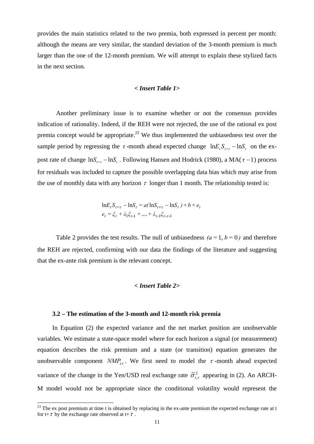provides the main statistics related to the two premia, both expressed in percent per month: although the means are very similar, the standard deviation of the 3-month premium is much larger than the one of the 12-month premium. We will attempt to explain these stylized facts in the next section.

#### *< Insert Table 1>*

Another preliminary issue is to examine whether or not the consensus provides indication of rationality. Indeed, if the REH were not rejected, the use of the rational ex post premia concept would be appropriate.<sup>23</sup> We thus implemented the unbiasedness test over the sample period by regressing the  $\tau$ -month ahead expected change  $\ln E_t S_{t+\tau} - \ln S_t$  on the expost rate of change  $\ln S_{t+\tau} - \ln S_t$ . Following Hansen and Hodrick (1980), a MA( $\tau$  – 1) process for residuals was included to capture the possible overlapping data bias which may arise from the use of monthly data with any horizon  $\tau$  longer than 1 month. The relationship tested is:

$$
\ln E_t S_{t+\tau} - \ln S_t = a(\ln S_{t+\tau} - \ln S_t) + b + e_t
$$
  

$$
e_t = \xi_t + \lambda_1 \xi_{t-1} + \dots + \lambda_{\tau-1} \xi_{t-\tau-1}
$$

Table 2 provides the test results. The null of unbiasedness  $(a=1, b=0)$  and therefore the REH are rejected, confirming with our data the findings of the literature and suggesting that the ex-ante risk premium is the relevant concept.

#### *< Insert Table 2>*

#### **3.2 – The estimation of the 3-month and 12-month risk premia**

-

In Equation (2) the expected variance and the net market position are unobservable variables. We estimate a state-space model where for each horizon a signal (or measurement) equation describes the risk premium and a state (or transition) equation generates the unobservable component  $NMP_{tt}$ . We first need to model the  $\tau$ -month ahead expected variance of the change in the Yen/USD real exchange rate  $\tilde{\sigma}^2_{t,\tau}$  appearing in (2). An ARCH-M model would not be appropriate since the conditional volatility would represent the

 $^{23}$  The ex post premium at time t is obtained by replacing in the ex-ante premium the expected exchange rate at t for t+ $\tau$  by the exchange rate observed at t+ $\tau$ .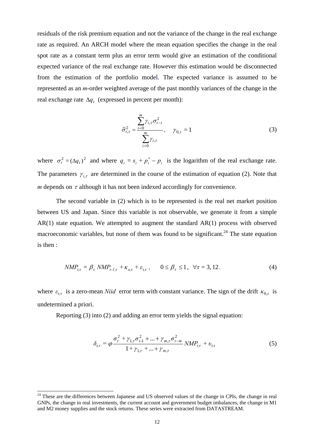residuals of the risk premium equation and not the variance of the change in the real exchange rate as required. An ARCH model where the mean equation specifies the change in the real spot rate as a constant term plus an error term would give an estimation of the conditional expected variance of the real exchange rate. However this estimation would be disconnected from the estimation of the portfolio model. The expected variance is assumed to be represented as an *m*-order weighted average of the past monthly variances of the change in the real exchange rate  $\Delta q_t$  (expressed in percent per month):

$$
\tilde{\sigma}_{t,\tau}^2 = \frac{\sum_{i=0}^m \gamma_{i,\tau} \sigma_{t-i}^2}{\sum_{i=0}^m \gamma_{i,\tau}}, \quad \gamma_{0,\tau} = 1
$$
\n(3)

where  $\sigma_t^2 = (\Delta q_t)^2$  and where  $q_t = s_t + p_t^* - p_t$  is the logarithm of the real exchange rate. The parameters  $\gamma_{i,\tau}$  are determined in the course of the estimation of equation (2). Note that *m* depends on  $\tau$  although it has not been indexed accordingly for convenience.

 The second variable in (2) which is to be represented is the real net market position between US and Japan. Since this variable is not observable, we generate it from a simple AR(1) state equation. We attempted to augment the standard AR(1) process with observed macroeconomic variables, but none of them was found to be significant.<sup>24</sup> The state equation is then :

$$
NMP_{t,\tau} = \beta_{\tau} NMP_{t-l,\tau} + \kappa_{o,\tau} + \varepsilon_{t,\tau}, \qquad 0 \le \beta_{\tau} \le 1, \quad \forall \tau = 3, 12. \tag{4}
$$

where  $\varepsilon_{t\tau}$  is a zero-mean *Niid* error term with constant variance. The sign of the drift  $\kappa_{0,\tau}$  is undetermined a priori.

Reporting (3) into (2) and adding an error term yields the signal equation:

$$
\delta_{t,\tau} = \varphi \frac{\sigma_t^2 + \gamma_{1,\tau} \sigma_{t-1}^2 + \dots + \gamma_{m,\tau} \sigma_{t-m}^2}{1 + \gamma_{1,\tau} + \dots + \gamma_{m,\tau}} N M P_{t,\tau} + v_{t,\tau}
$$
(5)

<sup>&</sup>lt;sup>24</sup> These are the differences between Japanese and US observed values of the change in CPIs, the change in real GNPs, the change in real investments, the current account and government budget imbalances, the change in M1 and M2 money supplies and the stock returns. These series were extracted from DATASTREAM.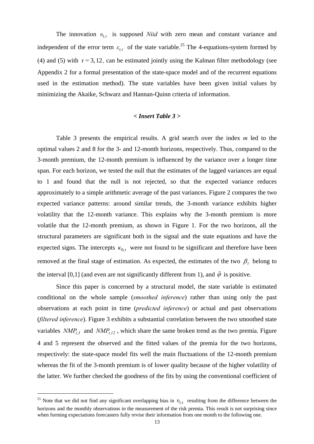The innovation  $v_{t\tau}$  is supposed *Niid* with zero mean and constant variance and independent of the error term  $\varepsilon_{t\tau}$  of the state variable.<sup>25</sup> The 4-equations-system formed by (4) and (5) with  $\tau = 3, 12$ , can be estimated jointly using the Kalman filter methodology (see Appendix 2 for a formal presentation of the state-space model and of the recurrent equations used in the estimation method). The state variables have been given initial values by minimizing the Akaike, Schwarz and Hannan-Quinn criteria of information.

#### *< Insert Table 3 >*

Table 3 presents the empirical results. A grid search over the index *m* led to the optimal values 2 and 8 for the 3- and 12-month horizons, respectively. Thus, compared to the 3-month premium, the 12-month premium is influenced by the variance over a longer time span. For each horizon, we tested the null that the estimates of the lagged variances are equal to 1 and found that the null is not rejected, so that the expected variance reduces approximately to a simple arithmetic average of the past variances. Figure 2 compares the two expected variance patterns: around similar trends, the 3-month variance exhibits higher volatility that the 12-month variance. This explains why the 3-month premium is more volatile that the 12-month premium, as shown in Figure 1. For the two horizons, all the structural parameters are significant both in the signal and the state equations and have the expected signs. The intercepts  $\kappa_{0,\tau}$  were not found to be significant and therefore have been removed at the final stage of estimation. As expected, the estimates of the two  $\beta_{\tau}$  belong to the interval [0,1] (and even are not significantly different from 1), and  $\hat{\varphi}$  is positive.

Since this paper is concerned by a structural model, the state variable is estimated conditional on the whole sample (*smoothed inference*) rather than using only the past observations at each point in time (*predicted inference*) or actual and past observations (*filtered inference*). Figure 3 exhibits a substantial correlation between the two smoothed state variables  $NMP_{t,3}$  and  $NMP_{t,12}$ , which share the same broken trend as the two premia. Figure 4 and 5 represent the observed and the fitted values of the premia for the two horizons, respectively: the state-space model fits well the main fluctuations of the 12-month premium whereas the fit of the 3-month premium is of lower quality because of the higher volatility of the latter. We further checked the goodness of the fits by using the conventional coefficient of

1

<sup>&</sup>lt;sup>25</sup> Note that we did not find any significant overlapping bias in  $v_{t,\tau}$  resulting from the difference between the horizons and the monthly observations in the measurement of the risk premia. This result is not surprising since when forming expectations forecasters fully revise their information from one month to the following one.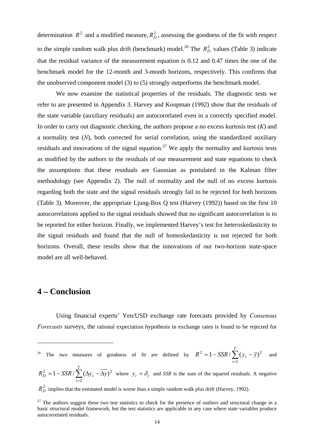determination  $R^2$  and a modified measure,  $R_D^2$ , assessing the goodness of the fit with respect to the simple random walk plus drift (benchmark) model.<sup>26</sup> The  $R_D^2$  values (Table 3) indicate that the residual variance of the measurement equation is 0.12 and 0.47 times the one of the benchmark model for the 12-month and 3-month horizons, respectively. This confirms that the unobserved component model (3) to (5) strongly outperforms the benchmark model.

We now examine the statistical properties of the residuals. The diagnostic tests we refer to are presented in Appendix 3. Harvey and Koopman (1992) show that the residuals of the state variable (auxiliary residuals) are autocorrelated even in a correctly specified model. In order to carry out diagnostic checking, the authors propose a no excess kurtosis test (*K*) and a normality test (*N*), both corrected for serial correlation, using the standardized auxiliary residuals and innovations of the signal equation.<sup>27</sup> We apply the normality and kurtosis tests as modified by the authors to the residuals of our measurement and state equations to check the assumptions that these residuals are Gaussian as postulated in the Kalman filter methodology (see Appendix 2). The null of normality and the null of no excess kurtosis regarding both the state and the signal residuals strongly fail to be rejected for both horizons (Table 3). Moreover, the appropriate Ljung-Box Q test (Harvey (1992)) based on the first 10 autocorrelations applied to the signal residuals showed that no significant autocorrelation is to be reported for either horizon. Finally, we implemented Harvey's test for heteroskedasticity to the signal residuals and found that the null of homoskedasticity is not rejected for both horizons. Overall, these results show that the innovations of our two-horizon state-space model are all well-behaved.

#### **4 – Conclusion**

-

Using financial experts' Yen/USD exchange rate forecasts provided by *Consensus Forecasts* surveys, the rational expectation hypothesis in exchange rates is found to be rejected for

<sup>26</sup> The two measures of goodness of fit are defined by 
$$
R^2 = 1 - SSR / \sum_{t=1}^{T} (y_t - \overline{y})^2
$$
 and

 $\sum_{t=2}$  $= 1 - SSR / \sum (\Delta y_t - \Delta)$ *T t*  $R_D^2 = 1 - SSR / \sum (\Delta y_t - \Delta y_t)$ 2  $\frac{2}{D} = 1 - SSR / \sum (\Delta y_t - \overline{\Delta y})^2$  where  $y_t = \delta_t$  and SSR is the sum of the squared residuals. A negative

 $R_D^2$  implies that the estimated model is worse than a simple random walk plus drift (Harvey, 1992).

 $27$  The authors suggest these two test statistics to check for the presence of outliers and structural change in a basic structural model framework, but the test statistics are applicable in any case where state variables produce autocorrelated residuals.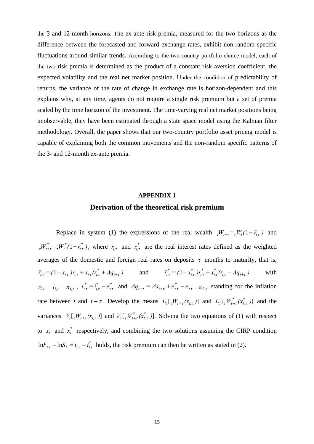the 3 and 12-month horizons. The ex-ante risk premia, measured for the two horizons as the difference between the forecasted and forward exchange rates, exhibit non-random specific fluctuations around similar trends. According to the two-country portfolio choice model, each of the two risk premia is determined as the product of a constant risk aversion coefficient, the expected volatility and the real net market position. Under the condition of predictability of returns, the variance of the rate of change in exchange rate is horizon-dependent and this explains why, at any time, agents do not require a single risk premium but a set of premia scaled by the time horizon of the investment. The time-varying real net market positions being unobservable, they have been estimated through a state space model using the Kalman filter methodology. Overall, the paper shows that our two-country portfolio asset pricing model is capable of explaining both the common movements and the non-random specific patterns of the 3- and 12-month ex-ante premia.

### **APPENDIX 1 Derivation of the theoretical risk premium**

Replace in system (1) the expressions of the real wealth  $W_{t+\tau} = W_t(1 + \overline{r}_{t\tau})$  and  $\overline{W}_{t+\tau}^* = \overline{W}_t^*(1+\overline{r}_{t,\tau}^*)$ , where  $\overline{r}_{t,\tau}$  and  $\overline{r}_{t,\tau}^*$  are the real interest rates defined as the weighted averages of the domestic and foreign real rates on deposits  $\tau$  months to maturity, that is,  $\overline{r}_{t,\tau} = (1 - x_{t,\tau}) r_{t,\tau} + x_{t,\tau} (r_{t,\tau}^* + \Delta q_{t+\tau})$  and  $\overline{r}_{t,\tau}^* = (1 - x_{t,\tau}^*) r_{t,\tau}^* + x_{t,\tau}^* (r_{t,\tau} - \Delta q_{t+\tau})$  with  $r_{t,\tau} = i_{t,\tau} - \pi_{t,\tau}$ ,  $r_{t,\tau}^* = i_{t,\tau}^* - \pi_{t,\tau}^*$  and  $\Delta q_{t+\tau} = \Delta s_{t+\tau} + \pi_{t,\tau}^* - \pi_{t,\tau}$ ,  $\pi_{t,\tau}$  standing for the inflation rate between t and  $t + \tau$ . Develop the means  $E_t[I_t W_{t+\tau}(x_{t,\tau})]$  and  $E_t[I_t W_{t+\tau}^*(x_{t,\tau}^*)]$  and the variances  $V_t[\tau_{t+\tau}(x_{t,\tau})]$  and  $V_t[\tau_{t+\tau}(x_{t,\tau}^*)]$ . Solving the two equations of (1) with respect to  $x_t$  and  $x_t^*$  respectively, and combining the two solutions assuming the CIRP condition  $\ln F_{t,\tau} - \ln S_t = i_{t,\tau} - i_{t,\tau}^*$  holds, the risk premium can then be written as stated in (2).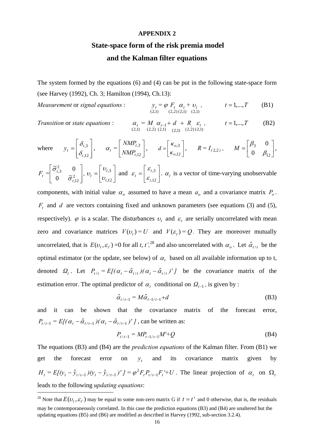#### **APPENDIX 2**

## **State-space form of the risk premia model and the Kalman filter equations**

The system formed by the equations (6) and (4) can be put in the following state-space form (see Harvey (1992), Ch. 3; Hamilton (1994), Ch.13):

*Measurement* or *signal equations* :

$$
y_t = \varphi \, F_t \, \alpha_t + v_t \, , \qquad t = 1,...,T \qquad \text{(B1)}
$$
\n
$$
t = 1,...,T
$$

*Transition* or *state equations* :

-

$$
\alpha_{t} = M_{t} \alpha_{t-1} + d_{t} + R_{t} \varepsilon_{t}, \qquad t = 1,...,T
$$
 (B2)  
(2,1) (2,2) (2,1) (2,1) (2,2) (2,1)

where 
$$
y_t = \begin{bmatrix} \delta_{t,3} \\ \delta_{t,12} \end{bmatrix}
$$
,  $\alpha_t = \begin{bmatrix} NMP_{t,3} \\ NMP_{t,12} \end{bmatrix}$ ,  $d = \begin{bmatrix} \kappa_{0,3} \\ \kappa_{0,12} \end{bmatrix}$ ,  $R = I_{(2,2)}$ ,  $M = \begin{bmatrix} \beta_3 & 0 \\ 0 & \beta_{12} \end{bmatrix}$ ,

$$
F_t = \begin{bmatrix} \tilde{\sigma}_{t,3}^2 & 0 \\ 0 & \tilde{\sigma}_{t,12}^2 \end{bmatrix}, v_t = \begin{bmatrix} v_{t,3} \\ v_{t,12} \end{bmatrix} \text{ and } \varepsilon_t = \begin{bmatrix} \varepsilon_{t,3} \\ \varepsilon_{t,12} \end{bmatrix}. \alpha_t \text{ is a vector of time-varying unobservable}
$$

components, with initial value  $\alpha_o$  assumed to have a mean  $a_o$  and a covariance matrix  $P_o$ .  $F_t$  and *d* are vectors containing fixed and unknown parameters (see equations (3) and (5), respectively).  $\varphi$  is a scalar. The disturbances  $v_t$  and  $\varepsilon_t$  are serially uncorrelated with mean zero and covariance matrices  $V(v_t) = U$  and  $V(\varepsilon_t) = Q$ . They are moreover mutually uncorrelated, that is  $E(v_t, \varepsilon_t) = 0$  for all *t*,  $t'^{28}$  and also uncorrelated with  $\alpha_o$ . Let  $\hat{\alpha}_{t/t}$  be the optimal estimator (or the update, see below) of  $\alpha_t$  based on all available information up to t, denoted  $Q_t$ . Let  $P_{t/t} = E[(\alpha_t - \hat{\alpha}_{t/t})'(\alpha_t - \hat{\alpha}_{t/t})']$  be the covariance matrix of the estimation error. The optimal predictor of  $\alpha_t$  conditional on  $\Omega_{t-1}$ , is given by :

$$
\hat{\alpha}_{t/t-1} = M\hat{\alpha}_{t-1/t-1} + d \tag{B3}
$$

and it can be shown that the covariance matrix of the forecast error,  $P_{t/t-1} = E[(\alpha_t - \hat{\alpha}_{t/t-1})(\alpha_t - \hat{\alpha}_{t/t-1})'$ , can be written as:

$$
P_{t/t-1} = MP_{t-1/t-1}M' + Q
$$
 (B4)

The equations (B3) and (B4) are the *prediction equations* of the Kalman filter. From (B1) we get the forecast error on  $y_t$  and its covariance matrix given by  $H_t = E[(y_t - \hat{y}_{t/t-1})(y_t - \hat{y}_{t/t-1})'] = \varphi^2 F_t P_{t/t-1} F_t + U$ . The linear projection of  $\alpha_t$  on  $\Omega_t$ leads to the following *updating equations*:

<sup>&</sup>lt;sup>28</sup> Note that  $E(\nu_t, \varepsilon_t)$  may be equal to some non-zero matrix G if  $t = t$  and 0 otherwise, that is, the residuals may be contemporaneously correlated. In this case the prediction equations (B3) and (B4) are unaltered but the updating equations (B5) and (B6) are modified as described in Harvey (1992, sub-section 3.2.4).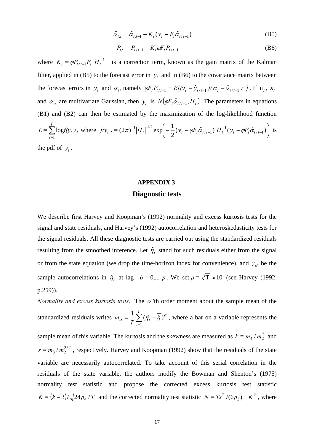$$
\hat{\alpha}_{t,t} = \hat{\alpha}_{t,t-1} + K_t (y_t - F_t \hat{\alpha}_{t/t-1})
$$
\n(B5)

$$
P_{t,t} = P_{t/t-1} - K_t \varphi F_t P_{t/t-1}
$$
 (B6)

where  $K_t = \varphi P_{t/t-1} F_t H_t^{-1}$  is a correction term, known as the gain matrix of the Kalman filter, applied in (B5) to the forecast error in  $y_t$  and in (B6) to the covariance matrix between the forecast errors in  $y_t$  and  $\alpha_t$ , namely  $\varphi F_t P_{t/t-1} = E[(y_t - \hat{y}_{t/t-1}) (\alpha_t - \hat{\alpha}_{t/t-1})' ]$ . If  $v_t$ ,  $\varepsilon_t$ and  $\alpha_o$  are multivariate Gaussian, then  $y_t$  is  $N(\varphi F_t \hat{\alpha}_{t/t-1}, H_t)$ . The parameters in equations (B1) and (B2) can then be estimated by the maximization of the log-likelihood function ∑ *T t=*  $L = \sum \log f(y_t)$ 1  $\log f(y_t)$ , where  $f(y_t) = (2\pi)^{-1} |H_t|^{-1/2} \exp \left[-\frac{1}{2}(y_t - \phi F_t \hat{\alpha}_{t/t-1})' H_t^{-1}(y_t - \phi F_t \hat{\alpha}_{t/t-1})'\right]$ ⎠  $\left(-\frac{1}{2}(y_t - \varphi F_t \hat{\alpha}_{t/t-1})' H_t^{-1}(y_t - \varphi F_t \hat{\alpha}_{t/t-1})\right)$ ⎝  $\Big( -\frac{1}{2} (y_t - \varphi F_t \hat{\alpha}_{t/t-1})^t H_t^{-1} (y_t - \varphi F_t \hat{\alpha}_{t/t-1})^t \Big)$  $(2\pi)^{-1} |H_t|^{-1/2} \exp \left(-\frac{1}{2} (y_t - \varphi F_t \hat{\alpha}_{t/t-1})^{\dagger} H_t^{-1} (y_t - \varphi F_t \hat{\alpha}_{t/t-1})\right)$  $/t-1$  $f(y_t) = (2\pi)^{-1} |H_t|^{-1/2} \exp\left(-\frac{1}{2}(y_t - \varphi F_t \hat{\alpha}_{t/t-1})' H_t^{-1}(y_t - \varphi F_t \hat{\alpha}_{t/t-1})\right)$  is the pdf of  $y_t$ .

#### **APPENDIX 3**

#### **Diagnostic tests**

We describe first Harvey and Koopman's (1992) normality and excess kurtosis tests for the signal and state residuals, and Harvey's (1992) autocorrelation and heteroskedasticity tests for the signal residuals. All these diagnostic tests are carried out using the standardized residuals resulting from the smoothed inference. Let  $\hat{\eta}_t$  stand for such residuals either from the signal or from the state equation (we drop the time-horizon index for convenience), and  $\gamma_{\theta}$  be the sample autocorrelations in  $\hat{\eta}_t$  at lag  $\theta = 0,..., p$ . We set  $p = \sqrt{T} \approx 10$  (see Harvey (1992, p.259)).

*Normality and excess kurtosis tests.* The  $\alpha$  'th order moment about the sample mean of the standardized residuals writes  $m_{\alpha} = \frac{1}{T} \sum_{t=1}^{T}$  $=\frac{1}{\pi}\sum(\hat{\eta}_t-\hat{\eta}_t)$ *T*  $m_\alpha = \frac{1}{T} \sum_{t=1}^T (\hat{\eta}_t$ 1  $\alpha = \frac{1}{\pi} \sum_{i=1}^{T} (\hat{\eta}_i - \overline{\hat{\eta}})^{\alpha}$ , where a bar on a variable represents the sample mean of this variable. The kurtosis and the skewness are measured as  $k = m_4 / m_2^2$  and  $s = m_3 / m_2^{3/2}$ , respectively. Harvey and Koopman (1992) show that the residuals of the state variable are necessarily autocorrelated. To take account of this serial correlation in the residuals of the state variable, the authors modify the Bowman and Shenton's (1975) normality test statistic and propose the corrected excess kurtosis test statistic  $K = (k-3)/\sqrt{24\rho_4/T}$  and the corrected normality test statistic  $N = Ts^2/(6\rho_3) + K^2$ , where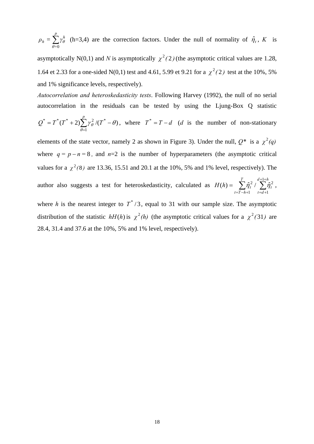$\rho_h = \sum^p \gamma_\theta^h$  $=0$ = θ  $\hat{\theta}$  (h=3,4) are the correction factors. Under the null of normality of  $\hat{\eta}_t$ , *K* is

asymptotically N(0,1) and *N* is asymptotically  $\chi^2(2)$  (the asymptotic critical values are 1.28, 1.64 et 2.33 for a one-sided N(0,1) test and 4.61, 5.99 et 9.21 for a  $\chi^2(2)$  test at the 10%, 5% and 1% significance levels, respectively).

*Autocorrelation and heteroskedasticity tests*. Following Harvey (1992), the null of no serial autocorrelation in the residuals can be tested by using the Ljung-Box Q statistic

$$
Q^* = T^*(T^* + 2)\sum_{\theta=1}^p \gamma_\theta^2 / (T^* - \theta),
$$
 where  $T^* = T - d$  (*d* is the number of non-stationary

elements of the state vector, namely 2 as shown in Figure 3). Under the null,  $Q^*$  is a  $\chi^2(q)$ where  $q = p - n = 8$ , and  $n=2$  is the number of hyperparameters (the asymptotic critical values for a  $\chi^2(8)$  are 13.36, 15.51 and 20.1 at the 10%, 5% and 1% level, respectively). The author also suggests a test for heteroskedasticity, calculated as  $H(h) = \sum_{i=1}^{T} \hat{\eta}_i^2 / \sum_{i=1}^{d+1+1}$  $=T-h+1$   $t=d+$ =  $d + 1 + h$  $t = d$ *t T t T h*  $H(h) = \sum \hat{\eta}_t^2$ 1 1 2 1  $(h) = \sum \hat{\eta}_t^2 / \sum \hat{\eta}_t^2$ , where *h* is the nearest integer to  $T^*/3$ , equal to 31 with our sample size. The asymptotic distribution of the statistic  $hH(h)$  is  $\chi^2(h)$  (the asymptotic critical values for a  $\chi^2(31)$  are

28.4, 31.4 and 37.6 at the 10%, 5% and 1% level, respectively).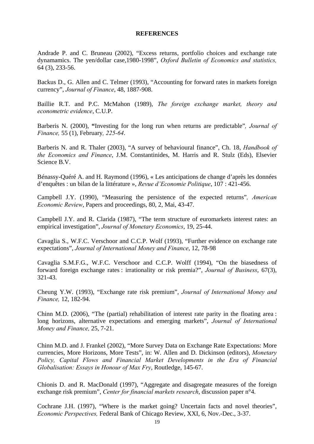#### **REFERENCES**

Andrade P. and C. Bruneau (2002), "Excess returns, portfolio choices and exchange rate dynamamics. The yen/dollar case,1980-1998", *Oxford Bulletin of Economics and statistics,*  64 (3), 233-56.

Backus D., G. Allen and C. Telmer (1993), "Accounting for forward rates in markets foreign currency", *Journal of Finance*, 48, 1887-908.

Baillie R.T. and P.C. McMahon (1989), *The foreign exchange market, theory and econometric evidence*, C.U.P.

Barberis N. (2000), **"**Investing for the long run when returns are predictable"*, Journal of Finance,* 55 (1), February*, 225-64*.

Barberis N. and R. Thaler (2003), "A survey of behavioural finance", Ch. 18, *Handbook of the Economics and Finance*, J.M. Constantinides, M. Harris and R. Stulz (Eds), Elsevier Science B.V.

Bénassy-Quéré A. and H. Raymond (1996), « Les anticipations de change d'après les données d'enquêtes : un bilan de la littérature », *Revue d'Economie Politique*, 107 : 421-456.

Campbell J.Y. (1990), "Measuring the persistence of the expected returns"*, American Economic Review*, Papers and proceedings, 80, 2, Mai, 43-47.

Campbell J.Y. and R. Clarida (1987), "The term structure of euromarkets interest rates: an empirical investigation", *Journal of Monetary Economics*, 19, 25-44.

Cavaglia S., W.F.C. Verschoor and C.C.P. Wolf (1993), "Further evidence on exchange rate expectations", *Journal of International Money and Finance*, 12, 78-98

Cavaglia S.M.F.G., W.F.C. Verschoor and C.C.P. Wolff (1994), "On the biasedness of forward foreign exchange rates : irrationality or risk premia?", *Journal of Business*, 67(3), 321-43.

Cheung Y.W. (1993), "Exchange rate risk premium", *Journal of International Money and Finance,* 12, 182-94.

Chinn M.D. (2006), "The (partial) rehabilitation of interest rate parity in the floating area : long horizons, alternative expectations and emerging markets", *Journal of International Money and Finance,* 25, 7-21.

Chinn M.D. and J. Frankel (2002), "More Survey Data on Exchange Rate Expectations: More currencies, More Horizons, More Tests", in: W. Allen and D. Dickinson (editors), *Monetary Policy, Capital Flows and Financial Market Developments in the Era of Financial Globalisation: Essays in Honour of Max Fry*, Routledge, 145-67.

Chionis D. and R. MacDonald (1997), "Aggregate and disagregate measures of the foreign exchange risk premium", *Center for financial markets research*, discussion paper n°4.

Cochrane J.H. (1997), "Where is the market going? Uncertain facts and novel theories", *Economic Perspectives,* Federal Bank of Chicago Review, XXI, 6, Nov.-Dec., 3-37.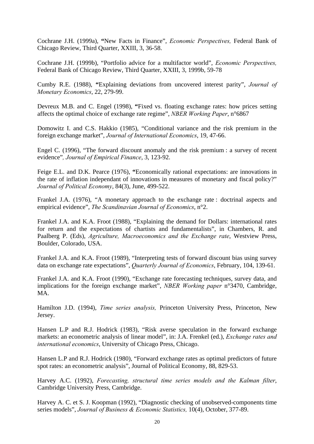Cochrane J.H. (1999a), **"**New Facts in Finance", *Economic Perspectives,* Federal Bank of Chicago Review, Third Quarter, XXIII, 3, 36-58.

Cochrane J.H. (1999b), "Portfolio advice for a multifactor world", *Economic Perspectives,* Federal Bank of Chicago Review, Third Quarter, XXIII, 3, 1999b, 59-78

Cumby R.E. (1988), **"**Explaining deviations from uncovered interest parity", *Journal of Monetary Economics*, 22, 279-99.

Devreux M.B. and C. Engel (1998), **"**Fixed vs. floating exchange rates: how prices setting affects the optimal choice of exchange rate regime", *NBER Working Paper*, n°6867

Domowitz I. and C.S. Hakkio (1985), "Conditional variance and the risk premium in the foreign exchange market", *Journal of International Economics*, 19, 47-66.

Engel C. (1996), "The forward discount anomaly and the risk premium : a survey of recent evidence"*, Journal of Empirical Finance*, 3, 123-92.

Feige E.L. and D.K. Pearce (1976), **"**Economically rational expectations: are innovations in the rate of inflation independant of innovations in measures of monetary and fiscal policy?" *Journal of Political Economy*, 84(3), June, 499-522.

Frankel J.A. (1976), "A monetary approach to the exchange rate : doctrinal aspects and empirical evidence", *The Scandinavian Journal of Economics*, n°2.

Frankel J.A. and K.A. Froot (1988), "Explaining the demand for Dollars: international rates for return and the expectations of chartists and fundamentalists", in Chambers, R. and Paalberg P. (Eds), *Agriculture, Macroeconomics and the Exchange rate*, Westview Press, Boulder, Colorado, USA.

Frankel J.A. and K.A. Froot (1989), "Interpreting tests of forward discount bias using survey data on exchange rate expectations", *Quarterly Journal of Economics*, February, 104, 139-61.

Frankel J.A. and K.A. Froot (1990), "Exchange rate forecasting techniques, survey data, and implications for the foreign exchange market", *NBER Working paper* n°3470, Cambridge, MA.

Hamilton J.D. (1994), *Time series analysis,* Princeton University Press, Princeton, New Jersey.

Hansen L.P and R.J. Hodrick (1983), "Risk averse speculation in the forward exchange markets: an econometric analysis of linear model", in: J.A. Frenkel (ed.), *Exchange rates and international economics*, University of Chicago Press, Chicago.

Hansen L.P and R.J. Hodrick (1980), "Forward exchange rates as optimal predictors of future spot rates: an econometric analysis", Journal of Political Economy, 88, 829-53.

Harvey A.C. (1992), *Forecasting, structural time series models and the Kalman filter*, Cambridge University Press, Cambridge.

Harvey A. C. et S. J. Koopman (1992), "Diagnostic checking of unobserved-components time series models", *Journal of Business & Economic Statistics,* 10(4), October, 377-89.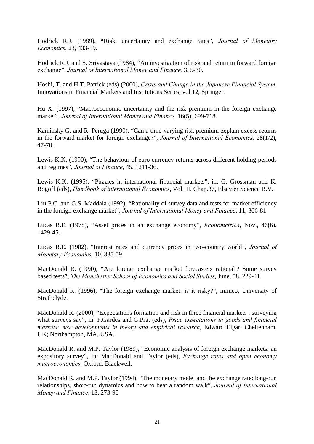Hodrick R.J. (1989), **"**Risk, uncertainty and exchange rates", *Journal of Monetary Economics*, 23, 433-59.

Hodrick R.J. and S. Srivastava (1984), "An investigation of risk and return in forward foreign exchange", *Journal of International Money and Finance,* 3, 5-30.

Hoshi, T. and H.T. Patrick (eds) (2000), *Crisis and Change in the Japanese Financial System*, Innovations in Financial Markets and Institutions Series, vol 12, Springer.

Hu X. (1997), "Macroeconomic uncertainty and the risk premium in the foreign exchange market"*, Journal of International Money and Finance*, 16(5), 699-718.

Kaminsky G. and R. Peruga (1990), "Can a time-varying risk premium explain excess returns in the forward market for foreign exchange?", *Journal of International Economics,* 28(1/2), 47-70.

Lewis K.K. (1990), "The behaviour of euro currency returns across different holding periods and regimes", *Journal of Finance*, 45, 1211-36.

Lewis K.K. (1995), "Puzzles in international financial markets", in: G. Grossman and K. Rogoff (eds), *Handbook of international Economics*, Vol.III, Chap.37, Elsevier Science B.V.

Liu P.C. and G.S. Maddala (1992), "Rationality of survey data and tests for market efficiency in the foreign exchange market", *Journal of International Money and Finance*, 11, 366-81.

Lucas R.E. (1978), "Asset prices in an exchange economy", *Econometrica*, Nov., 46(6), 1429-45.

Lucas R.E. (1982), "Interest rates and currency prices in two-country world", *Journal of Monetary Economics,* 10, 335-59

MacDonald R. (1990), **"**Are foreign exchange market forecasters rational ? Some survey based tests", *The Manchester School of Economics and Social Studies*, June, 58, 229-41.

MacDonald R. (1996), "The foreign exchange market: is it risky?", mimeo, University of Strathclyde.

MacDonald R. (2000), "Expectations formation and risk in three financial markets : surveying what surveys say", in: F.Gardes and G.Prat (eds), *Price expectations in goods and financial markets: new developments in theory and empirical research, Edward Elgar: Cheltenham,* UK; Northampton, MA, USA.

MacDonald R. and M.P. Taylor (1989), "Economic analysis of foreign exchange markets: an expository survey", in: MacDonald and Taylor (eds), *Exchange rates and open economy macroeconomics*, Oxford, Blackwell.

MacDonald R. and M.P. Taylor (1994), "The monetary model and the exchange rate: long-run relationships, short-run dynamics and how to beat a random walk", *Journal of International Money and Finance*, 13, 273-90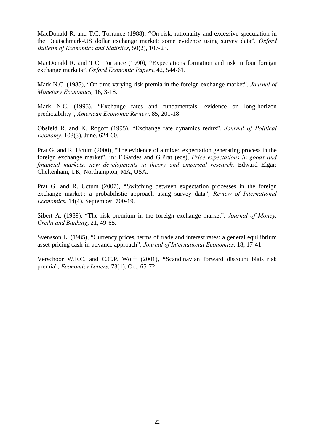MacDonald R. and T.C. Torrance (1988), **"**On risk, rationality and excessive speculation in the Deutschmark-US dollar exchange market: some evidence using survey data", *Oxford Bulletin of Economics and Statistics*, 50(2), 107-23.

MacDonald R. and T.C. Torrance (1990), **"**Expectations formation and risk in four foreign exchange markets"*, Oxford Economic Papers*, 42, 544-61.

Mark N.C. (1985), "On time varying risk premia in the foreign exchange market", *Journal of Monetary Economics,* 16, 3-18.

Mark N.C. (1995), "Exchange rates and fundamentals: evidence on long-horizon predictability", *American Economic Review*, 85, 201-18

Obsfeld R. and K. Rogoff (1995), "Exchange rate dynamics redux", *Journal of Political Economy*, 103(3), June, 624-60.

Prat G. and R. Uctum (2000), "The evidence of a mixed expectation generating process in the foreign exchange market", in: F.Gardes and G.Prat (eds), *Price expectations in goods and financial markets: new developments in theory and empirical research, Edward Elgar:* Cheltenham, UK; Northampton, MA, USA.

Prat G. and R. Uctum (2007), **"**Switching between expectation processes in the foreign exchange market : a probabilistic approach using survey data", *Review of International Economics*, 14(4), September, 700-19.

Sibert A. (1989), "The risk premium in the foreign exchange market", *Journal of Money, Credit and Banking*, 21, 49-65.

Svensson L. (1985), "Currency prices, terms of trade and interest rates: a general equilibrium asset-pricing cash-in-advance approach", *Journal of International Economics*, 18, 17-41.

Verschoor W.F.C. and C.C.P. Wolff (2001)**, "**Scandinavian forward discount biais risk premia", *Economics Letters*, 73(1), Oct, 65-72.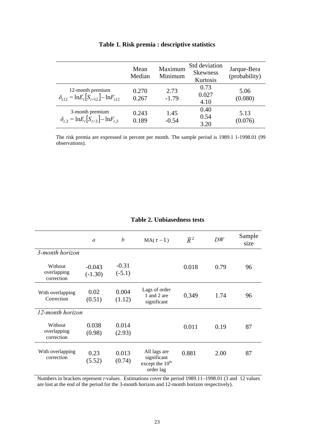|                                                                                    | Mean<br>Median | Maximum<br>Minimum | Std deviation<br><b>Skewness</b><br>Kurtosis | Jarque-Bera<br>(probability) |
|------------------------------------------------------------------------------------|----------------|--------------------|----------------------------------------------|------------------------------|
| 12-month premium<br>$\delta_{t12} = \ln E_t \left[ S_{t+12} \right] - \ln F_{t12}$ | 0.270<br>0.267 | 2.73<br>$-1.79$    | 0.73<br>0.027<br>4.10                        | 5.06<br>(0.080)              |
| 3-month premium<br>$\delta_{t,3} = \ln E_t \left[ S_{t+3} \right] - \ln F_{t,3}$   | 0.243<br>0.189 | 1.45<br>$-0.54$    | 0.40<br>0.54<br>3.20                         | 5.13<br>(0.076)              |

#### **Table 1. Risk premia : descriptive statistics**

The risk premia are expressed in percent per month. The sample period is 1989.1 1-1998.01 (99 observations).

|                                      | $\mathfrak a$         | $\boldsymbol{b}$    | $MA(\tau-1)$                                                            | $\overline{R}^2$ | DW   | Sample<br>size |
|--------------------------------------|-----------------------|---------------------|-------------------------------------------------------------------------|------------------|------|----------------|
| 3-month horizon                      |                       |                     |                                                                         |                  |      |                |
| Without<br>overlapping<br>correction | $-0.043$<br>$(-1.30)$ | $-0.31$<br>$(-5.1)$ |                                                                         | 0.018            | 0.79 | 96             |
| With overlapping<br>Correction       | 0.02<br>(0.51)        | 0.004<br>(1.12)     | Lags of order<br>1 and 2 are<br>significant                             | 0.349            | 1.74 | 96             |
| 12-month horizon                     |                       |                     |                                                                         |                  |      |                |
| Without<br>overlapping<br>correction | 0.038<br>(0.98)       | 0.014<br>(2.93)     |                                                                         | 0.011            | 0.19 | 87             |
| With overlapping<br>correction       | 0.23<br>(5.52)        | 0.013<br>(0.74)     | All lags are<br>significant<br>except the 10 <sup>th</sup><br>order lag | 0.881            | 2.00 | 87             |

#### **Table 2. Unbiasedness tests**

Numbers in brackets represent *t*-values. Estimations cover the period 1989.11–1998.01 (3 and 12 values are lost at the end of the period for the 3-month horizon and 12-month horizon respectively).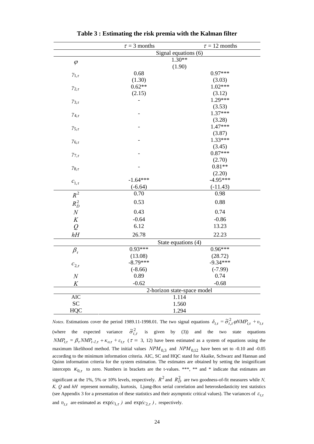|                                        | $\tau = 3$ months   | $\tau = 12$ months          |  |  |  |
|----------------------------------------|---------------------|-----------------------------|--|--|--|
|                                        |                     | Signal equations (6)        |  |  |  |
| $\varphi$                              | $1.30**$            |                             |  |  |  |
|                                        | (1.90)              |                             |  |  |  |
| $\gamma_{1,\tau}$                      | 0.68                | $0.97***$                   |  |  |  |
|                                        | (1.30)              | (3.03)                      |  |  |  |
| $\gamma_{2,\tau}$                      | $0.62**$            | $1.02***$                   |  |  |  |
|                                        | (2.15)              | (3.12)                      |  |  |  |
| $\gamma_{3,\tau}$                      |                     | $1.29***$                   |  |  |  |
| $\gamma_{4,\tau}$<br>$\gamma_{5,\tau}$ |                     | (3.53)                      |  |  |  |
|                                        |                     | $1.37***$                   |  |  |  |
|                                        |                     | (3.28)                      |  |  |  |
|                                        |                     | $1.47***$                   |  |  |  |
| $\gamma_{6,\tau}$                      |                     | (3.87)                      |  |  |  |
|                                        |                     | $1.33***$                   |  |  |  |
| $\gamma_{7,\tau}$                      |                     | (3.45)<br>$0.87***$         |  |  |  |
|                                        |                     | (2.70)                      |  |  |  |
| $\gamma_{8,\tau}$                      |                     | $0.81**$                    |  |  |  |
|                                        |                     | (2.20)                      |  |  |  |
| $c_{1,\tau}$                           | $-1.64***$          | $-4.95***$                  |  |  |  |
|                                        | $(-6.64)$           | $(-11.43)$                  |  |  |  |
| $R^2$                                  | 0.70                | 0.98                        |  |  |  |
|                                        | 0.53                | 0.88                        |  |  |  |
| $R_D^2$                                |                     |                             |  |  |  |
| $\cal N$                               | 0.43                | 0.74                        |  |  |  |
| K                                      | $-0.64$             | $-0.86$                     |  |  |  |
| $\overline{Q}$                         | 6.12                | 13.23                       |  |  |  |
| hH                                     | 26.78               | 22.23                       |  |  |  |
|                                        | State equations (4) |                             |  |  |  |
| $\beta_{\tau}$                         | $0.93***$           | $0.96***$                   |  |  |  |
|                                        | (13.08)             | (28.72)                     |  |  |  |
| $c_{2,\tau}$                           | $-8.79***$          | $-9.34***$                  |  |  |  |
|                                        | $(-8.66)$           | $(-7.99)$                   |  |  |  |
| $\cal N$                               | 0.89                | 0.74                        |  |  |  |
| $\boldsymbol{K}$                       | $-0.62$             | $-0.68$                     |  |  |  |
|                                        |                     | 2-horizon state-space model |  |  |  |
| <b>AIC</b>                             | 1.114               |                             |  |  |  |
| <b>SC</b>                              | 1.560               |                             |  |  |  |
| <b>HQC</b>                             | 1.294               |                             |  |  |  |

**Table 3 : Estimating the risk premia with the Kalman filter** 

*Notes*. Estimations cover the period 1989.11-1998.01. The two signal equations  $\delta_{t,\tau} = \tilde{\sigma}_{t,\tau}^2 \varphi N M P_{t,\tau} + v_{t,\tau}$ (where the expected variance  $\tilde{\sigma}_{t,\tau}^2$  is given by (3)) and the two state equations  $NMP_{t,\tau} = \beta_{\tau} NMP_{t-1,\tau} + \kappa_{0,\tau} + \varepsilon_{t,\tau}$  ( $\tau = 3, 12$ ) have been estimated as a system of equations using the maximum likelihood method. The initial values  $NPM_{0.3}$  and  $NPM_{0.12}$  have been set to -0.10 and -0.05 according to the minimum information criteria. AIC, SC and HQC stand for Akaike, Schwarz and Hannan and Quinn information criteria for the system estimation. The estimates are obtained by setting the insignificant intercepts  $\kappa_{0,\tau}$  to zero. Numbers in brackets are the t-values. \*\*\*, \*\* and \* indicate that estimates are significant at the 1%, 5% or 10% levels, respectively.  $R^2$  and  $R_D^2$  are two goodness-of-fit measures while *N*, *K, Q* and *hH* represent normality, kurtosis, Ljung-Box serial correlation and heteroskedasticity test statistics (see Appendix 3 for a presentation of these statistics and their asymptotic critical values). The variances of  $\varepsilon_{t,\tau}$ and  $v_{t,\tau}$  are estimated as  $\exp(c_{1,\tau})$  and  $\exp(c_{2,\tau})$ , respectively.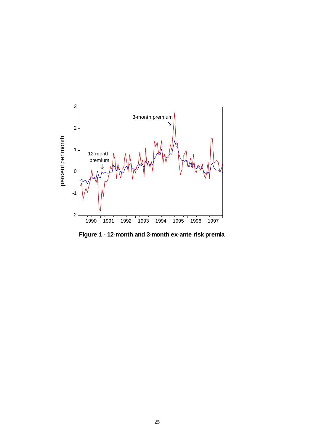

**Figure 1 - 12-month and 3-month ex-ante risk premia**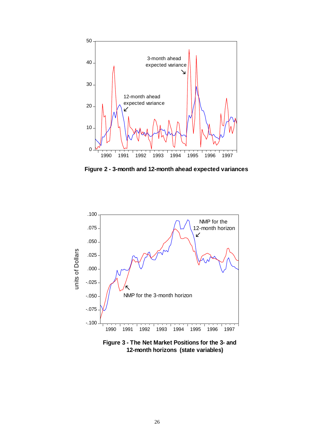

**Figure 2 - 3-month and 12-month ahead expected variances**



**Figure 3 - The Net Market Positions for the 3- and 12-month horizons (state variables)**